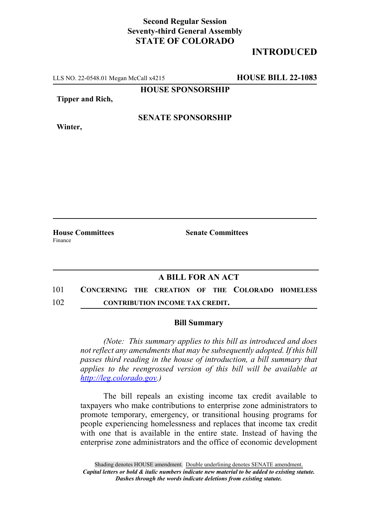## **Second Regular Session Seventy-third General Assembly STATE OF COLORADO**

## **INTRODUCED**

LLS NO. 22-0548.01 Megan McCall x4215 **HOUSE BILL 22-1083**

**HOUSE SPONSORSHIP**

**Tipper and Rich,**

**SENATE SPONSORSHIP**

**Winter,**

**House Committees Senate Committees** Finance

## **A BILL FOR AN ACT**

101 **CONCERNING THE CREATION OF THE COLORADO HOMELESS** 102 **CONTRIBUTION INCOME TAX CREDIT.**

## **Bill Summary**

*(Note: This summary applies to this bill as introduced and does not reflect any amendments that may be subsequently adopted. If this bill passes third reading in the house of introduction, a bill summary that applies to the reengrossed version of this bill will be available at http://leg.colorado.gov.)*

The bill repeals an existing income tax credit available to taxpayers who make contributions to enterprise zone administrators to promote temporary, emergency, or transitional housing programs for people experiencing homelessness and replaces that income tax credit with one that is available in the entire state. Instead of having the enterprise zone administrators and the office of economic development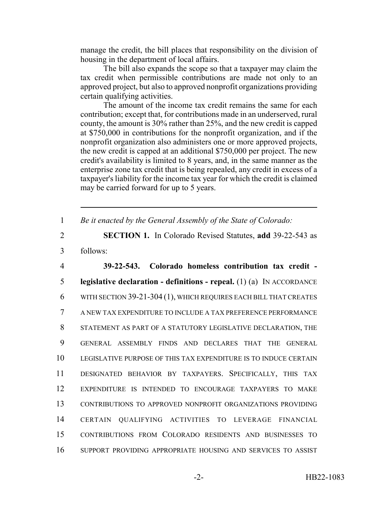manage the credit, the bill places that responsibility on the division of housing in the department of local affairs.

The bill also expands the scope so that a taxpayer may claim the tax credit when permissible contributions are made not only to an approved project, but also to approved nonprofit organizations providing certain qualifying activities.

The amount of the income tax credit remains the same for each contribution; except that, for contributions made in an underserved, rural county, the amount is 30% rather than 25%, and the new credit is capped at \$750,000 in contributions for the nonprofit organization, and if the nonprofit organization also administers one or more approved projects, the new credit is capped at an additional \$750,000 per project. The new credit's availability is limited to 8 years, and, in the same manner as the enterprise zone tax credit that is being repealed, any credit in excess of a taxpayer's liability for the income tax year for which the credit is claimed may be carried forward for up to 5 years.

1 *Be it enacted by the General Assembly of the State of Colorado:*

2 **SECTION 1.** In Colorado Revised Statutes, **add** 39-22-543 as 3 follows:

 **39-22-543. Colorado homeless contribution tax credit - legislative declaration - definitions - repeal.** (1) (a) IN ACCORDANCE WITH SECTION 39-21-304 (1), WHICH REQUIRES EACH BILL THAT CREATES A NEW TAX EXPENDITURE TO INCLUDE A TAX PREFERENCE PERFORMANCE STATEMENT AS PART OF A STATUTORY LEGISLATIVE DECLARATION, THE GENERAL ASSEMBLY FINDS AND DECLARES THAT THE GENERAL LEGISLATIVE PURPOSE OF THIS TAX EXPENDITURE IS TO INDUCE CERTAIN DESIGNATED BEHAVIOR BY TAXPAYERS. SPECIFICALLY, THIS TAX EXPENDITURE IS INTENDED TO ENCOURAGE TAXPAYERS TO MAKE CONTRIBUTIONS TO APPROVED NONPROFIT ORGANIZATIONS PROVIDING CERTAIN QUALIFYING ACTIVITIES TO LEVERAGE FINANCIAL CONTRIBUTIONS FROM COLORADO RESIDENTS AND BUSINESSES TO SUPPORT PROVIDING APPROPRIATE HOUSING AND SERVICES TO ASSIST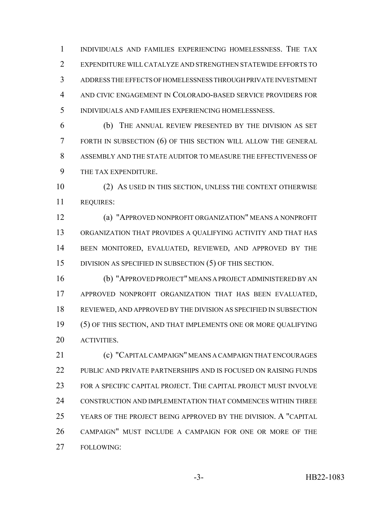INDIVIDUALS AND FAMILIES EXPERIENCING HOMELESSNESS. THE TAX EXPENDITURE WILL CATALYZE AND STRENGTHEN STATEWIDE EFFORTS TO ADDRESS THE EFFECTS OF HOMELESSNESS THROUGH PRIVATE INVESTMENT AND CIVIC ENGAGEMENT IN COLORADO-BASED SERVICE PROVIDERS FOR INDIVIDUALS AND FAMILIES EXPERIENCING HOMELESSNESS.

 (b) THE ANNUAL REVIEW PRESENTED BY THE DIVISION AS SET FORTH IN SUBSECTION (6) OF THIS SECTION WILL ALLOW THE GENERAL ASSEMBLY AND THE STATE AUDITOR TO MEASURE THE EFFECTIVENESS OF THE TAX EXPENDITURE.

 (2) AS USED IN THIS SECTION, UNLESS THE CONTEXT OTHERWISE REQUIRES:

 (a) "APPROVED NONPROFIT ORGANIZATION" MEANS A NONPROFIT ORGANIZATION THAT PROVIDES A QUALIFYING ACTIVITY AND THAT HAS BEEN MONITORED, EVALUATED, REVIEWED, AND APPROVED BY THE DIVISION AS SPECIFIED IN SUBSECTION (5) OF THIS SECTION.

 (b) "APPROVED PROJECT" MEANS A PROJECT ADMINISTERED BY AN APPROVED NONPROFIT ORGANIZATION THAT HAS BEEN EVALUATED, REVIEWED, AND APPROVED BY THE DIVISION AS SPECIFIED IN SUBSECTION (5) OF THIS SECTION, AND THAT IMPLEMENTS ONE OR MORE QUALIFYING ACTIVITIES.

 (c) "CAPITAL CAMPAIGN" MEANS A CAMPAIGN THAT ENCOURAGES PUBLIC AND PRIVATE PARTNERSHIPS AND IS FOCUSED ON RAISING FUNDS FOR A SPECIFIC CAPITAL PROJECT. THE CAPITAL PROJECT MUST INVOLVE CONSTRUCTION AND IMPLEMENTATION THAT COMMENCES WITHIN THREE YEARS OF THE PROJECT BEING APPROVED BY THE DIVISION. A "CAPITAL CAMPAIGN" MUST INCLUDE A CAMPAIGN FOR ONE OR MORE OF THE FOLLOWING: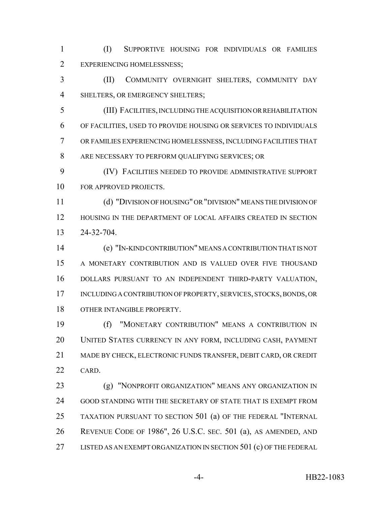(I) SUPPORTIVE HOUSING FOR INDIVIDUALS OR FAMILIES EXPERIENCING HOMELESSNESS;

 (II) COMMUNITY OVERNIGHT SHELTERS, COMMUNITY DAY 4 SHELTERS, OR EMERGENCY SHELTERS;

 (III) FACILITIES, INCLUDING THE ACQUISITION OR REHABILITATION OF FACILITIES, USED TO PROVIDE HOUSING OR SERVICES TO INDIVIDUALS OR FAMILIES EXPERIENCING HOMELESSNESS, INCLUDING FACILITIES THAT ARE NECESSARY TO PERFORM QUALIFYING SERVICES; OR

 (IV) FACILITIES NEEDED TO PROVIDE ADMINISTRATIVE SUPPORT FOR APPROVED PROJECTS.

 (d) "DIVISION OF HOUSING" OR "DIVISION" MEANS THE DIVISION OF HOUSING IN THE DEPARTMENT OF LOCAL AFFAIRS CREATED IN SECTION 24-32-704.

 (e) "IN-KIND CONTRIBUTION" MEANS A CONTRIBUTION THAT IS NOT A MONETARY CONTRIBUTION AND IS VALUED OVER FIVE THOUSAND DOLLARS PURSUANT TO AN INDEPENDENT THIRD-PARTY VALUATION, INCLUDING A CONTRIBUTION OF PROPERTY, SERVICES, STOCKS, BONDS, OR OTHER INTANGIBLE PROPERTY.

 (f) "MONETARY CONTRIBUTION" MEANS A CONTRIBUTION IN UNITED STATES CURRENCY IN ANY FORM, INCLUDING CASH, PAYMENT MADE BY CHECK, ELECTRONIC FUNDS TRANSFER, DEBIT CARD, OR CREDIT 22 CARD.

**(g) "NONPROFIT ORGANIZATION" MEANS ANY ORGANIZATION IN**  GOOD STANDING WITH THE SECRETARY OF STATE THAT IS EXEMPT FROM TAXATION PURSUANT TO SECTION 501 (a) OF THE FEDERAL "INTERNAL REVENUE CODE OF 1986", 26 U.S.C. SEC. 501 (a), AS AMENDED, AND 27 LISTED AS AN EXEMPT ORGANIZATION IN SECTION 501 (c) OF THE FEDERAL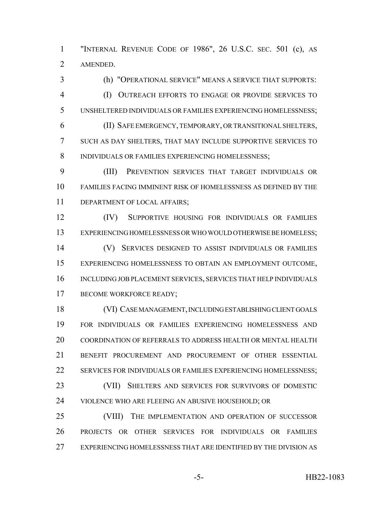"INTERNAL REVENUE CODE OF 1986", 26 U.S.C. SEC. 501 (c), AS AMENDED.

 (h) "OPERATIONAL SERVICE" MEANS A SERVICE THAT SUPPORTS: (I) OUTREACH EFFORTS TO ENGAGE OR PROVIDE SERVICES TO UNSHELTERED INDIVIDUALS OR FAMILIES EXPERIENCING HOMELESSNESS; (II) SAFE EMERGENCY, TEMPORARY, OR TRANSITIONAL SHELTERS, SUCH AS DAY SHELTERS, THAT MAY INCLUDE SUPPORTIVE SERVICES TO INDIVIDUALS OR FAMILIES EXPERIENCING HOMELESSNESS;

 (III) PREVENTION SERVICES THAT TARGET INDIVIDUALS OR FAMILIES FACING IMMINENT RISK OF HOMELESSNESS AS DEFINED BY THE 11 DEPARTMENT OF LOCAL AFFAIRS;

 (IV) SUPPORTIVE HOUSING FOR INDIVIDUALS OR FAMILIES EXPERIENCING HOMELESSNESS OR WHO WOULD OTHERWISE BE HOMELESS;

 (V) SERVICES DESIGNED TO ASSIST INDIVIDUALS OR FAMILIES EXPERIENCING HOMELESSNESS TO OBTAIN AN EMPLOYMENT OUTCOME, INCLUDING JOB PLACEMENT SERVICES, SERVICES THAT HELP INDIVIDUALS 17 BECOME WORKFORCE READY;

 (VI) CASE MANAGEMENT, INCLUDING ESTABLISHING CLIENT GOALS FOR INDIVIDUALS OR FAMILIES EXPERIENCING HOMELESSNESS AND COORDINATION OF REFERRALS TO ADDRESS HEALTH OR MENTAL HEALTH BENEFIT PROCUREMENT AND PROCUREMENT OF OTHER ESSENTIAL 22 SERVICES FOR INDIVIDUALS OR FAMILIES EXPERIENCING HOMELESSNESS; (VII) SHELTERS AND SERVICES FOR SURVIVORS OF DOMESTIC VIOLENCE WHO ARE FLEEING AN ABUSIVE HOUSEHOLD; OR

 (VIII) THE IMPLEMENTATION AND OPERATION OF SUCCESSOR PROJECTS OR OTHER SERVICES FOR INDIVIDUALS OR FAMILIES EXPERIENCING HOMELESSNESS THAT ARE IDENTIFIED BY THE DIVISION AS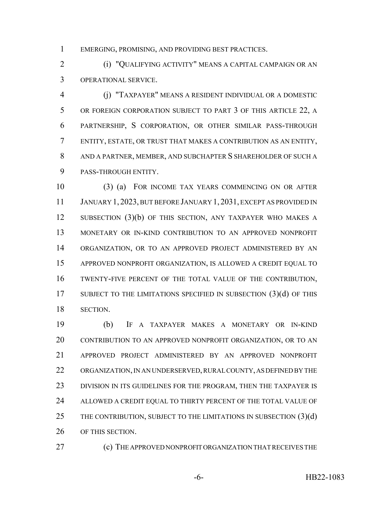EMERGING, PROMISING, AND PROVIDING BEST PRACTICES.

 (i) "QUALIFYING ACTIVITY" MEANS A CAPITAL CAMPAIGN OR AN OPERATIONAL SERVICE.

 (j) "TAXPAYER" MEANS A RESIDENT INDIVIDUAL OR A DOMESTIC OR FOREIGN CORPORATION SUBJECT TO PART 3 OF THIS ARTICLE 22, A PARTNERSHIP, S CORPORATION, OR OTHER SIMILAR PASS-THROUGH ENTITY, ESTATE, OR TRUST THAT MAKES A CONTRIBUTION AS AN ENTITY, AND A PARTNER, MEMBER, AND SUBCHAPTER S SHAREHOLDER OF SUCH A PASS-THROUGH ENTITY.

 (3) (a) FOR INCOME TAX YEARS COMMENCING ON OR AFTER JANUARY 1, 2023, BUT BEFORE JANUARY 1, 2031, EXCEPT AS PROVIDED IN 12 SUBSECTION (3)(b) OF THIS SECTION, ANY TAXPAYER WHO MAKES A MONETARY OR IN-KIND CONTRIBUTION TO AN APPROVED NONPROFIT ORGANIZATION, OR TO AN APPROVED PROJECT ADMINISTERED BY AN APPROVED NONPROFIT ORGANIZATION, IS ALLOWED A CREDIT EQUAL TO TWENTY-FIVE PERCENT OF THE TOTAL VALUE OF THE CONTRIBUTION, 17 SUBJECT TO THE LIMITATIONS SPECIFIED IN SUBSECTION (3)(d) OF THIS SECTION.

 (b) IF A TAXPAYER MAKES A MONETARY OR IN-KIND 20 CONTRIBUTION TO AN APPROVED NONPROFIT ORGANIZATION, OR TO AN APPROVED PROJECT ADMINISTERED BY AN APPROVED NONPROFIT ORGANIZATION, IN AN UNDERSERVED, RURAL COUNTY, AS DEFINED BY THE 23 DIVISION IN ITS GUIDELINES FOR THE PROGRAM, THEN THE TAXPAYER IS 24 ALLOWED A CREDIT EQUAL TO THIRTY PERCENT OF THE TOTAL VALUE OF 25 THE CONTRIBUTION, SUBJECT TO THE LIMITATIONS IN SUBSECTION (3)(d) OF THIS SECTION.

(c) THE APPROVED NONPROFIT ORGANIZATION THAT RECEIVES THE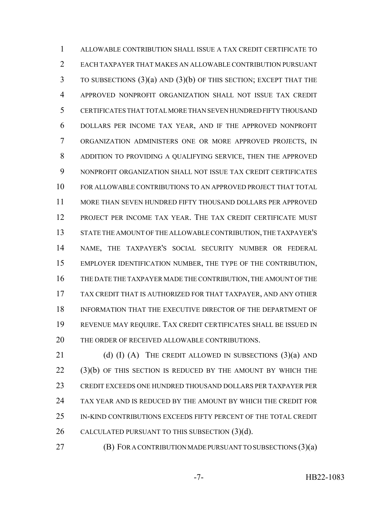ALLOWABLE CONTRIBUTION SHALL ISSUE A TAX CREDIT CERTIFICATE TO EACH TAXPAYER THAT MAKES AN ALLOWABLE CONTRIBUTION PURSUANT TO SUBSECTIONS (3)(a) AND (3)(b) OF THIS SECTION; EXCEPT THAT THE APPROVED NONPROFIT ORGANIZATION SHALL NOT ISSUE TAX CREDIT CERTIFICATES THAT TOTAL MORE THAN SEVEN HUNDRED FIFTY THOUSAND DOLLARS PER INCOME TAX YEAR, AND IF THE APPROVED NONPROFIT ORGANIZATION ADMINISTERS ONE OR MORE APPROVED PROJECTS, IN ADDITION TO PROVIDING A QUALIFYING SERVICE, THEN THE APPROVED NONPROFIT ORGANIZATION SHALL NOT ISSUE TAX CREDIT CERTIFICATES FOR ALLOWABLE CONTRIBUTIONS TO AN APPROVED PROJECT THAT TOTAL MORE THAN SEVEN HUNDRED FIFTY THOUSAND DOLLARS PER APPROVED PROJECT PER INCOME TAX YEAR. THE TAX CREDIT CERTIFICATE MUST STATE THE AMOUNT OF THE ALLOWABLE CONTRIBUTION, THE TAXPAYER'S NAME, THE TAXPAYER'S SOCIAL SECURITY NUMBER OR FEDERAL EMPLOYER IDENTIFICATION NUMBER, THE TYPE OF THE CONTRIBUTION, THE DATE THE TAXPAYER MADE THE CONTRIBUTION, THE AMOUNT OF THE TAX CREDIT THAT IS AUTHORIZED FOR THAT TAXPAYER, AND ANY OTHER INFORMATION THAT THE EXECUTIVE DIRECTOR OF THE DEPARTMENT OF REVENUE MAY REQUIRE. TAX CREDIT CERTIFICATES SHALL BE ISSUED IN 20 THE ORDER OF RECEIVED ALLOWABLE CONTRIBUTIONS.

21 (d) (I) (A) THE CREDIT ALLOWED IN SUBSECTIONS  $(3)(a)$  AND 22 (3)(b) OF THIS SECTION IS REDUCED BY THE AMOUNT BY WHICH THE CREDIT EXCEEDS ONE HUNDRED THOUSAND DOLLARS PER TAXPAYER PER TAX YEAR AND IS REDUCED BY THE AMOUNT BY WHICH THE CREDIT FOR IN-KIND CONTRIBUTIONS EXCEEDS FIFTY PERCENT OF THE TOTAL CREDIT CALCULATED PURSUANT TO THIS SUBSECTION (3)(d).

**(B) FOR A CONTRIBUTION MADE PURSUANT TO SUBSECTIONS (3)(a)**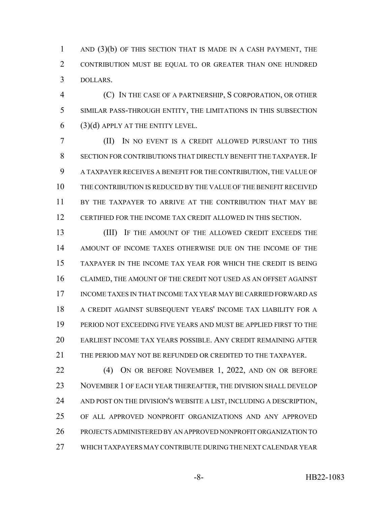1 AND (3)(b) OF THIS SECTION THAT IS MADE IN A CASH PAYMENT, THE CONTRIBUTION MUST BE EQUAL TO OR GREATER THAN ONE HUNDRED DOLLARS.

 (C) IN THE CASE OF A PARTNERSHIP, S CORPORATION, OR OTHER SIMILAR PASS-THROUGH ENTITY, THE LIMITATIONS IN THIS SUBSECTION (3)(d) APPLY AT THE ENTITY LEVEL.

 (II) IN NO EVENT IS A CREDIT ALLOWED PURSUANT TO THIS 8 SECTION FOR CONTRIBUTIONS THAT DIRECTLY BENEFIT THE TAXPAYER. IF A TAXPAYER RECEIVES A BENEFIT FOR THE CONTRIBUTION, THE VALUE OF THE CONTRIBUTION IS REDUCED BY THE VALUE OF THE BENEFIT RECEIVED BY THE TAXPAYER TO ARRIVE AT THE CONTRIBUTION THAT MAY BE CERTIFIED FOR THE INCOME TAX CREDIT ALLOWED IN THIS SECTION.

13 (III) IF THE AMOUNT OF THE ALLOWED CREDIT EXCEEDS THE AMOUNT OF INCOME TAXES OTHERWISE DUE ON THE INCOME OF THE TAXPAYER IN THE INCOME TAX YEAR FOR WHICH THE CREDIT IS BEING CLAIMED, THE AMOUNT OF THE CREDIT NOT USED AS AN OFFSET AGAINST INCOME TAXES IN THAT INCOME TAX YEAR MAY BE CARRIED FORWARD AS A CREDIT AGAINST SUBSEQUENT YEARS' INCOME TAX LIABILITY FOR A PERIOD NOT EXCEEDING FIVE YEARS AND MUST BE APPLIED FIRST TO THE EARLIEST INCOME TAX YEARS POSSIBLE. ANY CREDIT REMAINING AFTER THE PERIOD MAY NOT BE REFUNDED OR CREDITED TO THE TAXPAYER.

 (4) ON OR BEFORE NOVEMBER 1, 2022, AND ON OR BEFORE NOVEMBER 1 OF EACH YEAR THEREAFTER, THE DIVISION SHALL DEVELOP 24 AND POST ON THE DIVISION'S WEBSITE A LIST, INCLUDING A DESCRIPTION, OF ALL APPROVED NONPROFIT ORGANIZATIONS AND ANY APPROVED PROJECTS ADMINISTERED BY AN APPROVED NONPROFIT ORGANIZATION TO WHICH TAXPAYERS MAY CONTRIBUTE DURING THE NEXT CALENDAR YEAR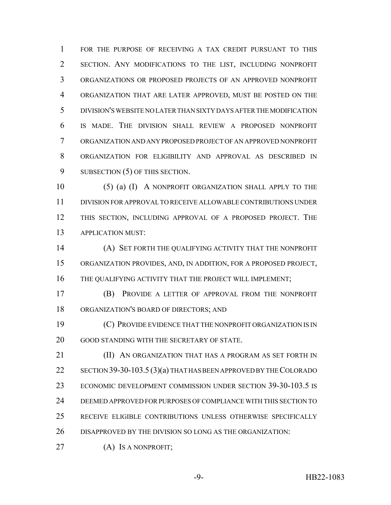FOR THE PURPOSE OF RECEIVING A TAX CREDIT PURSUANT TO THIS SECTION. ANY MODIFICATIONS TO THE LIST, INCLUDING NONPROFIT ORGANIZATIONS OR PROPOSED PROJECTS OF AN APPROVED NONPROFIT ORGANIZATION THAT ARE LATER APPROVED, MUST BE POSTED ON THE DIVISION'S WEBSITE NO LATER THAN SIXTY DAYS AFTER THE MODIFICATION IS MADE. THE DIVISION SHALL REVIEW A PROPOSED NONPROFIT ORGANIZATION AND ANY PROPOSED PROJECT OF AN APPROVED NONPROFIT ORGANIZATION FOR ELIGIBILITY AND APPROVAL AS DESCRIBED IN 9 SUBSECTION (5) OF THIS SECTION.

10 (5) (a) (I) A NONPROFIT ORGANIZATION SHALL APPLY TO THE DIVISION FOR APPROVAL TO RECEIVE ALLOWABLE CONTRIBUTIONS UNDER THIS SECTION, INCLUDING APPROVAL OF A PROPOSED PROJECT. THE APPLICATION MUST:

 (A) SET FORTH THE QUALIFYING ACTIVITY THAT THE NONPROFIT ORGANIZATION PROVIDES, AND, IN ADDITION, FOR A PROPOSED PROJECT, 16 THE QUALIFYING ACTIVITY THAT THE PROJECT WILL IMPLEMENT;

 (B) PROVIDE A LETTER OF APPROVAL FROM THE NONPROFIT ORGANIZATION'S BOARD OF DIRECTORS; AND

 (C) PROVIDE EVIDENCE THAT THE NONPROFIT ORGANIZATION IS IN GOOD STANDING WITH THE SECRETARY OF STATE.

 (II) AN ORGANIZATION THAT HAS A PROGRAM AS SET FORTH IN 22 SECTION 39-30-103.5 (3)(a) THAT HAS BEEN APPROVED BY THE COLORADO ECONOMIC DEVELOPMENT COMMISSION UNDER SECTION 39-30-103.5 IS DEEMED APPROVED FOR PURPOSES OF COMPLIANCE WITH THIS SECTION TO RECEIVE ELIGIBLE CONTRIBUTIONS UNLESS OTHERWISE SPECIFICALLY DISAPPROVED BY THE DIVISION SO LONG AS THE ORGANIZATION:

27 (A) Is a NONPROFIT;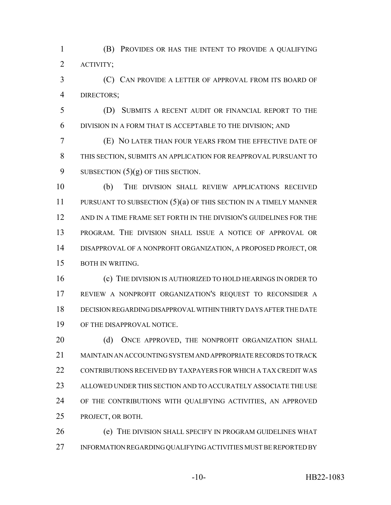(B) PROVIDES OR HAS THE INTENT TO PROVIDE A QUALIFYING ACTIVITY;

 (C) CAN PROVIDE A LETTER OF APPROVAL FROM ITS BOARD OF DIRECTORS;

 (D) SUBMITS A RECENT AUDIT OR FINANCIAL REPORT TO THE DIVISION IN A FORM THAT IS ACCEPTABLE TO THE DIVISION; AND

 (E) NO LATER THAN FOUR YEARS FROM THE EFFECTIVE DATE OF THIS SECTION, SUBMITS AN APPLICATION FOR REAPPROVAL PURSUANT TO 9 SUBSECTION  $(5)(g)$  OF THIS SECTION.

 (b) THE DIVISION SHALL REVIEW APPLICATIONS RECEIVED PURSUANT TO SUBSECTION (5)(a) OF THIS SECTION IN A TIMELY MANNER AND IN A TIME FRAME SET FORTH IN THE DIVISION'S GUIDELINES FOR THE PROGRAM. THE DIVISION SHALL ISSUE A NOTICE OF APPROVAL OR DISAPPROVAL OF A NONPROFIT ORGANIZATION, A PROPOSED PROJECT, OR BOTH IN WRITING.

 (c) THE DIVISION IS AUTHORIZED TO HOLD HEARINGS IN ORDER TO REVIEW A NONPROFIT ORGANIZATION'S REQUEST TO RECONSIDER A DECISION REGARDING DISAPPROVAL WITHIN THIRTY DAYS AFTER THE DATE OF THE DISAPPROVAL NOTICE.

20 (d) ONCE APPROVED, THE NONPROFIT ORGANIZATION SHALL MAINTAIN AN ACCOUNTING SYSTEM AND APPROPRIATE RECORDS TO TRACK CONTRIBUTIONS RECEIVED BY TAXPAYERS FOR WHICH A TAX CREDIT WAS ALLOWED UNDER THIS SECTION AND TO ACCURATELY ASSOCIATE THE USE OF THE CONTRIBUTIONS WITH QUALIFYING ACTIVITIES, AN APPROVED PROJECT, OR BOTH.

 (e) THE DIVISION SHALL SPECIFY IN PROGRAM GUIDELINES WHAT INFORMATION REGARDING QUALIFYING ACTIVITIES MUST BE REPORTED BY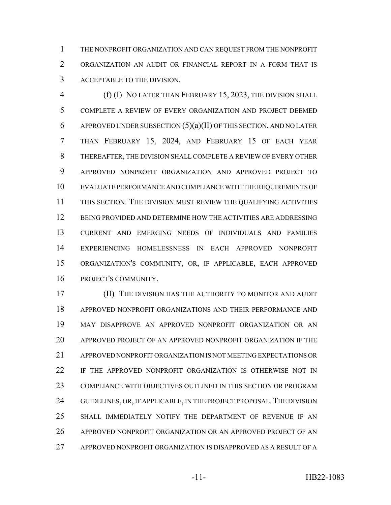THE NONPROFIT ORGANIZATION AND CAN REQUEST FROM THE NONPROFIT ORGANIZATION AN AUDIT OR FINANCIAL REPORT IN A FORM THAT IS ACCEPTABLE TO THE DIVISION.

 (f) (I) NO LATER THAN FEBRUARY 15, 2023, THE DIVISION SHALL COMPLETE A REVIEW OF EVERY ORGANIZATION AND PROJECT DEEMED 6 APPROVED UNDER SUBSECTION  $(5)(a)(II)$  OF THIS SECTION, AND NO LATER THAN FEBRUARY 15, 2024, AND FEBRUARY 15 OF EACH YEAR THEREAFTER, THE DIVISION SHALL COMPLETE A REVIEW OF EVERY OTHER APPROVED NONPROFIT ORGANIZATION AND APPROVED PROJECT TO EVALUATE PERFORMANCE AND COMPLIANCE WITH THE REQUIREMENTS OF THIS SECTION. THE DIVISION MUST REVIEW THE QUALIFYING ACTIVITIES BEING PROVIDED AND DETERMINE HOW THE ACTIVITIES ARE ADDRESSING CURRENT AND EMERGING NEEDS OF INDIVIDUALS AND FAMILIES EXPERIENCING HOMELESSNESS IN EACH APPROVED NONPROFIT ORGANIZATION'S COMMUNITY, OR, IF APPLICABLE, EACH APPROVED PROJECT'S COMMUNITY.

 (II) THE DIVISION HAS THE AUTHORITY TO MONITOR AND AUDIT APPROVED NONPROFIT ORGANIZATIONS AND THEIR PERFORMANCE AND MAY DISAPPROVE AN APPROVED NONPROFIT ORGANIZATION OR AN APPROVED PROJECT OF AN APPROVED NONPROFIT ORGANIZATION IF THE APPROVED NONPROFIT ORGANIZATION IS NOT MEETING EXPECTATIONS OR 22 IF THE APPROVED NONPROFIT ORGANIZATION IS OTHERWISE NOT IN COMPLIANCE WITH OBJECTIVES OUTLINED IN THIS SECTION OR PROGRAM 24 GUIDELINES, OR, IF APPLICABLE, IN THE PROJECT PROPOSAL. THE DIVISION SHALL IMMEDIATELY NOTIFY THE DEPARTMENT OF REVENUE IF AN APPROVED NONPROFIT ORGANIZATION OR AN APPROVED PROJECT OF AN APPROVED NONPROFIT ORGANIZATION IS DISAPPROVED AS A RESULT OF A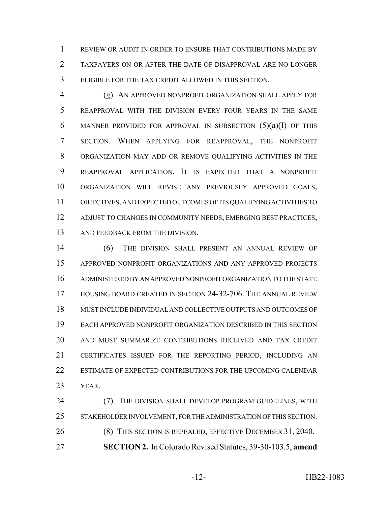REVIEW OR AUDIT IN ORDER TO ENSURE THAT CONTRIBUTIONS MADE BY TAXPAYERS ON OR AFTER THE DATE OF DISAPPROVAL ARE NO LONGER ELIGIBLE FOR THE TAX CREDIT ALLOWED IN THIS SECTION.

 (g) AN APPROVED NONPROFIT ORGANIZATION SHALL APPLY FOR REAPPROVAL WITH THE DIVISION EVERY FOUR YEARS IN THE SAME 6 MANNER PROVIDED FOR APPROVAL IN SUBSECTION  $(5)(a)(I)$  OF THIS SECTION. WHEN APPLYING FOR REAPPROVAL, THE NONPROFIT ORGANIZATION MAY ADD OR REMOVE QUALIFYING ACTIVITIES IN THE REAPPROVAL APPLICATION. IT IS EXPECTED THAT A NONPROFIT ORGANIZATION WILL REVISE ANY PREVIOUSLY APPROVED GOALS, OBJECTIVES, AND EXPECTED OUTCOMES OF ITS QUALIFYING ACTIVITIES TO ADJUST TO CHANGES IN COMMUNITY NEEDS, EMERGING BEST PRACTICES, 13 AND FEEDBACK FROM THE DIVISION.

 (6) THE DIVISION SHALL PRESENT AN ANNUAL REVIEW OF APPROVED NONPROFIT ORGANIZATIONS AND ANY APPROVED PROJECTS ADMINISTERED BY AN APPROVED NONPROFIT ORGANIZATION TO THE STATE HOUSING BOARD CREATED IN SECTION 24-32-706. THE ANNUAL REVIEW MUST INCLUDE INDIVIDUAL AND COLLECTIVE OUTPUTS AND OUTCOMES OF EACH APPROVED NONPROFIT ORGANIZATION DESCRIBED IN THIS SECTION AND MUST SUMMARIZE CONTRIBUTIONS RECEIVED AND TAX CREDIT CERTIFICATES ISSUED FOR THE REPORTING PERIOD, INCLUDING AN ESTIMATE OF EXPECTED CONTRIBUTIONS FOR THE UPCOMING CALENDAR YEAR.

 (7) THE DIVISION SHALL DEVELOP PROGRAM GUIDELINES, WITH STAKEHOLDER INVOLVEMENT, FOR THE ADMINISTRATION OF THIS SECTION. (8) THIS SECTION IS REPEALED, EFFECTIVE DECEMBER 31, 2040. **SECTION 2.** In Colorado Revised Statutes, 39-30-103.5, **amend**